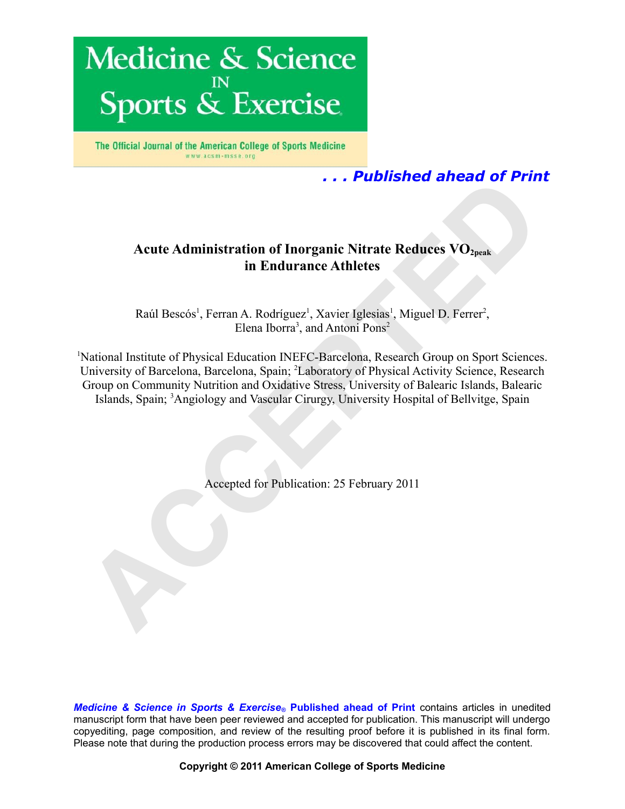

The Official Journal of the American College of Sports Medicine www.acsm-msse.org

# *. . . Published ahead of Print*

## **Acute Administration of Inorganic Nitrate Reduces VO2peak in Endurance Athletes**

Raúl Bescós<sup>1</sup>, Ferran A. Rodríguez<sup>1</sup>, Xavier Iglesias<sup>1</sup>, Miguel D. Ferrer<sup>2</sup>, Elena Iborra<sup>3</sup>, and Antoni Pons<sup>2</sup>

<sup>1</sup>National Institute of Physical Education INEFC-Barcelona, Research Group on Sport Sciences. University of Barcelona, Barcelona, Spain; <sup>2</sup>Laboratory of Physical Activity Science, Research Group on Community Nutrition and Oxidative Stress, University of Balearic Islands, Balearic Islands, Spain; <sup>3</sup>Angiology and Vascular Cirurgy, University Hospital of Bellvitge, Spain **Acute Administration of Inorganic Nitrate Reduces VO<sub>2peak</sub><br>
in Endurance Athletes<br>
Raúl Bescós<sup>1</sup>, Ferran A. Rodríguez<sup>1</sup>, Xavier Iglesias<sup>1</sup>, Miguel D. Ferrer<sup>2</sup>,<br>
Flema Iborra<sup>1</sup>, and Antoni Pons<sup>2</sup><br>
Actional Institute** 

Accepted for Publication: 25 February 2011

*Medicine & Science in Sports & Exercise***® Published ahead of Print** contains articles in unedited manuscript form that have been peer reviewed and accepted for publication. This manuscript will undergo copyediting, page composition, and review of the resulting proof before it is published in its final form. Please note that during the production process errors may be discovered that could affect the content.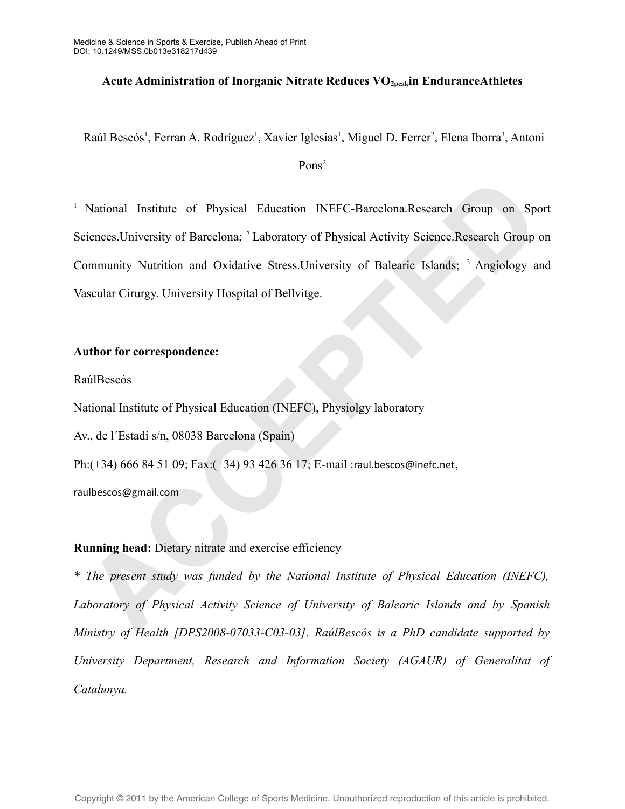## **Acute Administration of Inorganic Nitrate Reduces VO2peakin EnduranceAthletes**

Raúl Bescós<sup>1</sup>, Ferran A. Rodríguez<sup>1</sup>, Xavier Iglesias<sup>1</sup>, Miguel D. Ferrer<sup>2</sup>, Elena Iborra<sup>3</sup>, Antoni

Pons<sup>2</sup>

<sup>1</sup> National Institute of Physical Education INEFC-Barcelona.Research Group on Sport Sciences. University of Barcelona; <sup>2</sup> Laboratory of Physical Activity Science. Research Group on Community Nutrition and Oxidative Stress. University of Balearic Islands; <sup>3</sup> Angiology and Vascular Cirurgy. University Hospital of Bellvitge. National Institute of Physical Education INFFC-Barcelona.Research Group on Speciences.University of Barcelona; <sup>2</sup> Laboratory of Physical Activity Science.Research Group ommunity Nutrition and Oxidative Stress.University o

## **Author for correspondence:**

RaúlBescós

National Institute of Physical Education (INEFC), Physiolgy laboratory

Av., de l´Estadi s/n, 08038 Barcelona (Spain)

Ph:(+34) 666 84 51 09; Fax:(+34) 93 426 36 17; E-mail :raul.bescos@inefc.net,

raulbescos@gmail.com

## **Running head:** Dietary nitrate and exercise efficiency

*\* The present study was funded by the National Institute of Physical Education (INEFC), Laboratory of Physical Activity Science of University of Balearic Islands and by Spanish Ministry of Health [DPS2008-07033-C03-03]. RaúlBescós is a PhD candidate supported by University Department, Research and Information Society (AGAUR) of Generalitat of Catalunya.*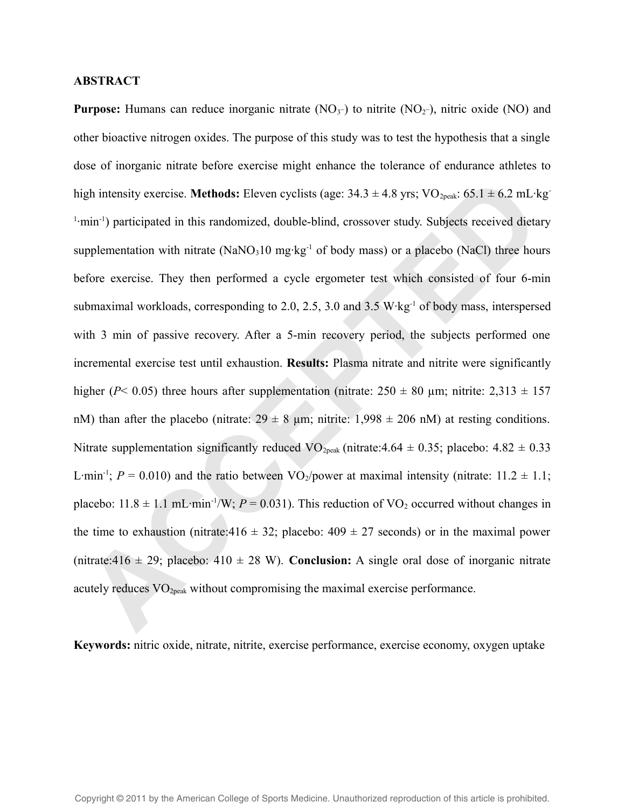### **ABSTRACT**

**Purpose:** Humans can reduce inorganic nitrate  $(NO<sub>3</sub>^-)$  to nitrite  $(NO<sub>2</sub>^-)$ , nitric oxide  $(NO)$  and other bioactive nitrogen oxides. The purpose of this study was to test the hypothesis that a single dose of inorganic nitrate before exercise might enhance the tolerance of endurance athletes to high intensity exercise. **Methods:** Eleven cyclists (age:  $34.3 \pm 4.8$  yrs; VO<sub>2peak</sub>:  $65.1 \pm 6.2$  mL·kg<sup>-</sup> <sup>1</sup>·min<sup>-1</sup>) participated in this randomized, double-blind, crossover study. Subjects received dietary supplementation with nitrate  $(NaNO<sub>3</sub>10 mg/kg<sup>-1</sup>$  of body mass) or a placebo (NaCl) three hours before exercise. They then performed a cycle ergometer test which consisted of four 6-min submaximal workloads, corresponding to 2.0, 2.5, 3.0 and 3.5 W·kg-1 of body mass, interspersed with 3 min of passive recovery. After a 5-min recovery period, the subjects performed one incremental exercise test until exhaustion. **Results:** Plasma nitrate and nitrite were significantly higher ( $P$ < 0.05) three hours after supplementation (nitrate:  $250 \pm 80$  µm; nitrite:  $2,313 \pm 157$ nM) than after the placebo (nitrate:  $29 \pm 8$  µm; nitrite: 1,998  $\pm$  206 nM) at resting conditions. Nitrate supplementation significantly reduced VO<sub>2peak</sub> (nitrate: 4.64  $\pm$  0.35; placebo: 4.82  $\pm$  0.33 L·min<sup>-1</sup>;  $P = 0.010$ ) and the ratio between VO<sub>2</sub>/power at maximal intensity (nitrate: 11.2  $\pm$  1.1; placebo:  $11.8 \pm 1.1$  mL·min<sup>-1</sup>/W;  $P = 0.031$ ). This reduction of VO<sub>2</sub> occurred without changes in the time to exhaustion (nitrate:416  $\pm$  32; placebo: 409  $\pm$  27 seconds) or in the maximal power (nitrate:416  $\pm$  29; placebo: 410  $\pm$  28 W). **Conclusion:** A single oral dose of inorganic nitrate acutely reduces VO2peak without compromising the maximal exercise performance. gh intensity exercise. **Mcthods:** Eleven cyclists (age: 34.3 ± 4.8 yrs; VO<sub>286a</sub>; 65.1 ± 6.2 mL-k<br>nin<sup>-1</sup>) participated in this randomized, double-blind, crossover study. Subjects received dicta<br>pplementation with nitrate

**Keywords:** nitric oxide, nitrate, nitrite, exercise performance, exercise economy, oxygen uptake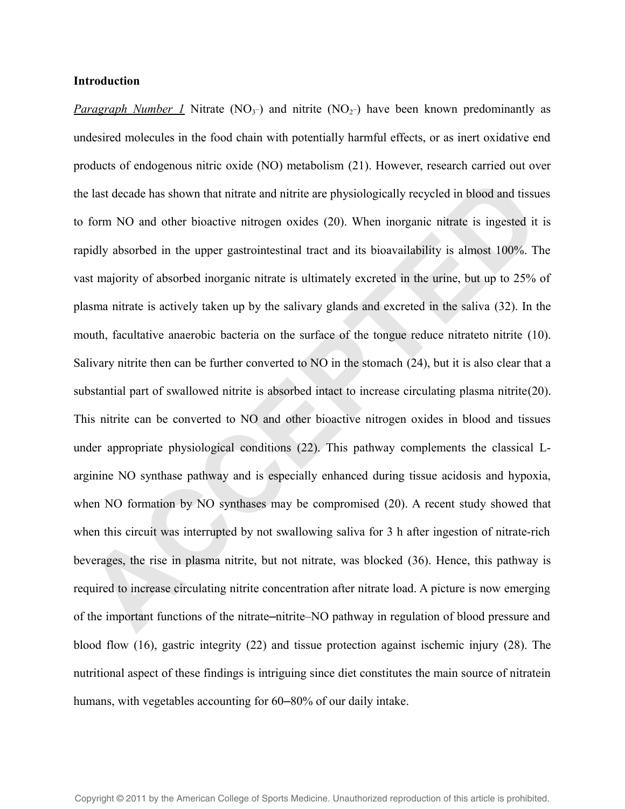#### **Introduction**

*Paragraph Number 1* Nitrate (NO<sub>3</sub>-) and nitrite (NO<sub>2</sub>-) have been known predominantly as undesired molecules in the food chain with potentially harmful effects, or as inert oxidative end products of endogenous nitric oxide (NO) metabolism (21). However, research carried out over the last decade has shown that nitrate and nitrite are physiologically recycled in blood and tissues to form NO and other bioactive nitrogen oxides (20). When inorganic nitrate is ingested it is rapidly absorbed in the upper gastrointestinal tract and its bioavailability is almost 100%. The vast majority of absorbed inorganic nitrate is ultimately excreted in the urine, but up to 25% of plasma nitrate is actively taken up by the salivary glands and excreted in the saliva (32). In the mouth, facultative anaerobic bacteria on the surface of the tongue reduce nitrateto nitrite (10). Salivary nitrite then can be further converted to NO in the stomach (24), but it is also clear that a substantial part of swallowed nitrite is absorbed intact to increase circulating plasma nitrite(20). This nitrite can be converted to NO and other bioactive nitrogen oxides in blood and tissues under appropriate physiological conditions (22). This pathway complements the classical Larginine NO synthase pathway and is especially enhanced during tissue acidosis and hypoxia, when NO formation by NO synthases may be compromised (20). A recent study showed that when this circuit was interrupted by not swallowing saliva for 3 h after ingestion of nitrate-rich beverages, the rise in plasma nitrite, but not nitrate, was blocked (36). Hence, this pathway is required to increase circulating nitrite concentration after nitrate load. A picture is now emerging of the important functions of the nitrate–nitrite–NO pathway in regulation of blood pressure and blood flow (16), gastric integrity (22) and tissue protection against ischemic injury (28). The nutritional aspect of these findings is intriguing since diet constitutes the main source of nitratein humans, with vegetables accounting for 60–80% of our daily intake. is a last decade has shown that nitrate and nitrite are physiologically recycled in blood and tissu<br>form NO and other bioactive nitrogen oxides (20). When inorganic nitrate is ingested it<br>pidly absorbed in the upper gastro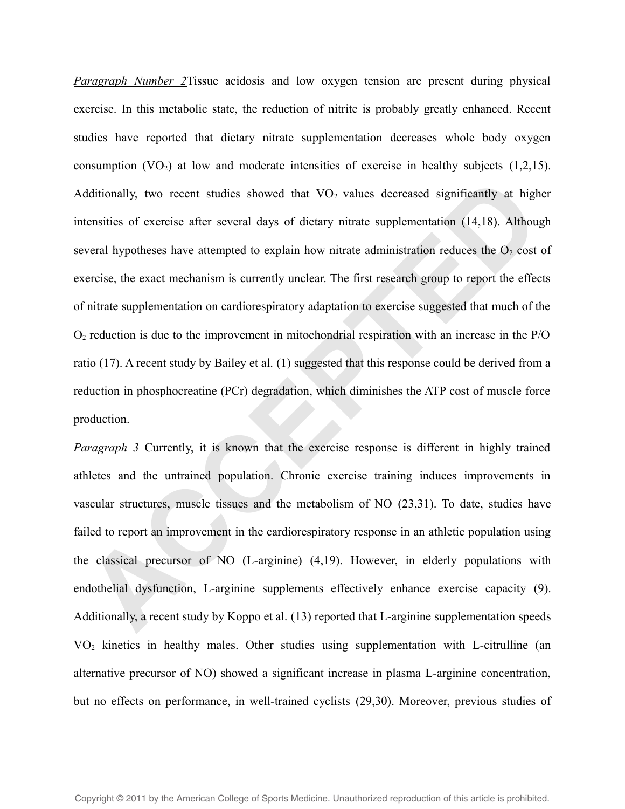*Paragraph Number 2*Tissue acidosis and low oxygen tension are present during physical exercise. In this metabolic state, the reduction of nitrite is probably greatly enhanced. Recent studies have reported that dietary nitrate supplementation decreases whole body oxygen consumption  $(VO_2)$  at low and moderate intensities of exercise in healthy subjects  $(1,2,15)$ . Additionally, two recent studies showed that  $VO<sub>2</sub>$  values decreased significantly at higher intensities of exercise after several days of dietary nitrate supplementation (14,18). Although several hypotheses have attempted to explain how nitrate administration reduces the  $O<sub>2</sub>$  cost of exercise, the exact mechanism is currently unclear. The first research group to report the effects of nitrate supplementation on cardiorespiratory adaptation to exercise suggested that much of the  $O<sub>2</sub>$  reduction is due to the improvement in mitochondrial respiration with an increase in the P/O ratio (17). A recent study by Bailey et al. (1) suggested that this response could be derived from a reduction in phosphocreatine (PCr) degradation, which diminishes the ATP cost of muscle force production. dditionally, two recent studies showed that VO<sub>2</sub> values decreased significantly at high<br>tensities of exercise after several days of dictary mitrate supplementation (14,18). Althoug<br>veral hypotheses have attempted to expl

*Paragraph 3* Currently, it is known that the exercise response is different in highly trained athletes and the untrained population. Chronic exercise training induces improvements in vascular structures, muscle tissues and the metabolism of NO (23,31). To date, studies have failed to report an improvement in the cardiorespiratory response in an athletic population using the classical precursor of NO (L-arginine) (4,19). However, in elderly populations with endothelial dysfunction, L-arginine supplements effectively enhance exercise capacity (9). Additionally, a recent study by Koppo et al. (13) reported that L-arginine supplementation speeds VO2 kinetics in healthy males. Other studies using supplementation with L-citrulline (an alternative precursor of NO) showed a significant increase in plasma L-arginine concentration, but no effects on performance, in well-trained cyclists (29,30). Moreover, previous studies of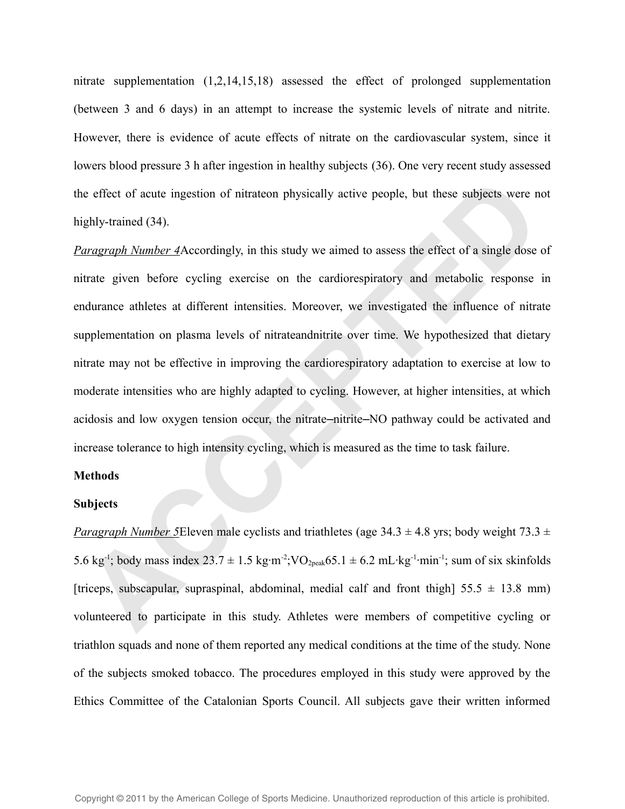nitrate supplementation (1,2,14,15,18) assessed the effect of prolonged supplementation (between 3 and 6 days) in an attempt to increase the systemic levels of nitrate and nitrite. However, there is evidence of acute effects of nitrate on the cardiovascular system, since it lowers blood pressure 3 h after ingestion in healthy subjects (36). One very recent study assessed the effect of acute ingestion of nitrateon physically active people, but these subjects were not highly-trained (34).

*Paragraph Number 4*Accordingly, in this study we aimed to assess the effect of a single dose of nitrate given before cycling exercise on the cardiorespiratory and metabolic response in endurance athletes at different intensities. Moreover, we investigated the influence of nitrate supplementation on plasma levels of nitrateandnitrite over time. We hypothesized that dietary nitrate may not be effective in improving the cardiorespiratory adaptation to exercise at low to moderate intensities who are highly adapted to cycling. However, at higher intensities, at which acidosis and low oxygen tension occur, the nitrate—nitrite—NO pathway could be activated and increase tolerance to high intensity cycling, which is measured as the time to task failure. e effect of acute ingestion of nitrateon physically active people, but these subjects were n<br>ghly-trained (34).<br>*Aragraph Number* 4Accordingly, in this study we aimed to assess the effect of a single dose<br>trate given befor

### **Methods**

#### **Subjects**

*Paragraph Number 5* Eleven male cyclists and triathletes (age  $34.3 \pm 4.8$  yrs; body weight  $73.3 \pm 7.5$ 5.6 kg<sup>-1</sup>; body mass index  $23.7 \pm 1.5$  kg·m<sup>-2</sup>; VO<sub>2peak</sub>65.1  $\pm$  6.2 mL·kg<sup>-1</sup>·min<sup>-1</sup>; sum of six skinfolds [triceps, subscapular, supraspinal, abdominal, medial calf and front thigh]  $55.5 \pm 13.8$  mm) volunteered to participate in this study. Athletes were members of competitive cycling or triathlon squads and none of them reported any medical conditions at the time of the study. None of the subjects smoked tobacco. The procedures employed in this study were approved by the Ethics Committee of the Catalonian Sports Council. All subjects gave their written informed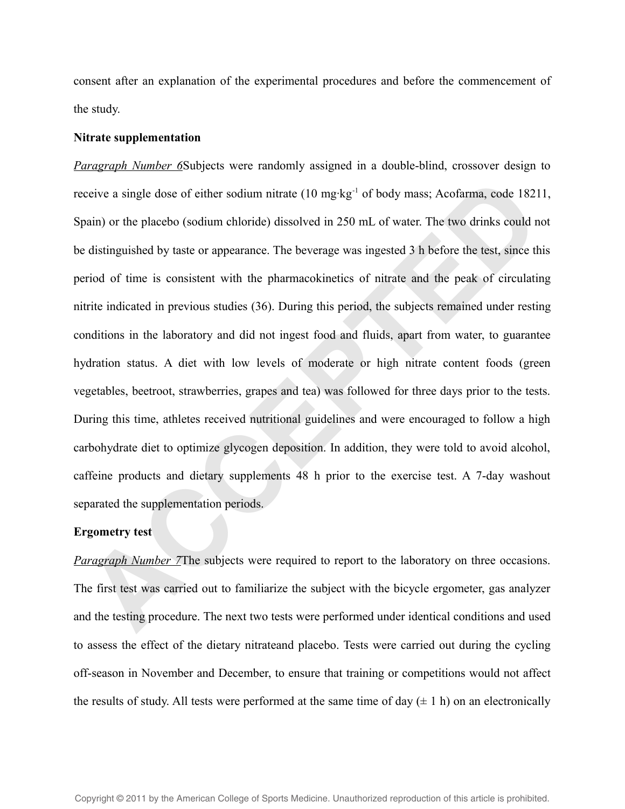consent after an explanation of the experimental procedures and before the commencement of the study.

#### **Nitrate supplementation**

*Paragraph Number 6*Subjects were randomly assigned in a double-blind, crossover design to receive a single dose of either sodium nitrate (10 mg·kg<sup>-1</sup> of body mass; Acofarma, code 18211, Spain) or the placebo (sodium chloride) dissolved in 250 mL of water. The two drinks could not be distinguished by taste or appearance. The beverage was ingested 3 h before the test, since this period of time is consistent with the pharmacokinetics of nitrate and the peak of circulating nitrite indicated in previous studies (36). During this period, the subjects remained under resting conditions in the laboratory and did not ingest food and fluids, apart from water, to guarantee hydration status. A diet with low levels of moderate or high nitrate content foods (green vegetables, beetroot, strawberries, grapes and tea) was followed for three days prior to the tests. During this time, athletes received nutritional guidelines and were encouraged to follow a high carbohydrate diet to optimize glycogen deposition. In addition, they were told to avoid alcohol, caffeine products and dietary supplements 48 h prior to the exercise test. A 7-day washout separated the supplementation periods. ceive a single dose of either sodium nitrate (10 mg·kg<sup>-1</sup> of body mass; Acofarma, code 1821<br>vain) or the placebo (sodium chloride) dissolved in 250 mL of water. The two drinks could n<br>distinguished by taste or appearance.

#### **Ergometry test**

*Paragraph Number 7*The subjects were required to report to the laboratory on three occasions. The first test was carried out to familiarize the subject with the bicycle ergometer, gas analyzer and the testing procedure. The next two tests were performed under identical conditions and used to assess the effect of the dietary nitrateand placebo. Tests were carried out during the cycling off-season in November and December, to ensure that training or competitions would not affect the results of study. All tests were performed at the same time of day  $(\pm 1 h)$  on an electronically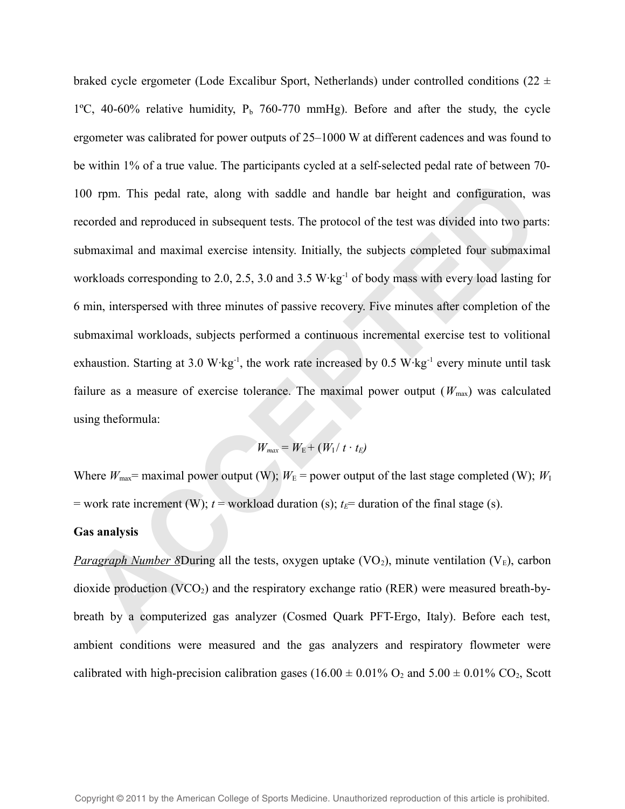braked cycle ergometer (Lode Excalibur Sport, Netherlands) under controlled conditions (22  $\pm$ 1°C, 40-60% relative humidity,  $P_b$  760-770 mmHg). Before and after the study, the cycle ergometer was calibrated for power outputs of 25–1000 W at different cadences and was found to be within 1% of a true value. The participants cycled at a self-selected pedal rate of between 70- 100 rpm. This pedal rate, along with saddle and handle bar height and configuration, was recorded and reproduced in subsequent tests. The protocol of the test was divided into two parts: submaximal and maximal exercise intensity. Initially, the subjects completed four submaximal workloads corresponding to 2.0, 2.5, 3.0 and 3.5 W·kg-1 of body mass with every load lasting for 6 min, interspersed with three minutes of passive recovery. Five minutes after completion of the submaximal workloads, subjects performed a continuous incremental exercise test to volitional exhaustion. Starting at 3.0 W·kg<sup>-1</sup>, the work rate increased by 0.5 W·kg<sup>-1</sup> every minute until task failure as a measure of exercise tolerance. The maximal power output  $(W_{\text{max}})$  was calculated using theformula: **ACCED** 10 rpm. This pedal rate, along with saddle and handle bar height and configuration, we<br>orded and reproduced in subsequent tests. The protocol of the test was divided into two part<br>bmaximal and maximal exercise int

$$
W_{\text{max}} = W_{\text{E}} + (W_{\text{I}}/t \cdot t_{\text{E}})
$$

Where  $W_{\text{max}}$  = maximal power output (W);  $W_{\text{E}}$  = power output of the last stage completed (W);  $W_{\text{I}}$ = work rate increment (W);  $t$  = workload duration (s);  $t$ <sup> $E$ </sup>= duration of the final stage (s).

#### **Gas analysis**

*Paragraph Number 8*During all the tests, oxygen uptake  $(VO_2)$ , minute ventilation  $(V_E)$ , carbon dioxide production (VCO<sub>2</sub>) and the respiratory exchange ratio (RER) were measured breath-bybreath by a computerized gas analyzer (Cosmed Quark PFT-Ergo, Italy). Before each test, ambient conditions were measured and the gas analyzers and respiratory flowmeter were calibrated with high-precision calibration gases (16.00  $\pm$  0.01% O<sub>2</sub> and 5.00  $\pm$  0.01% CO<sub>2</sub>, Scott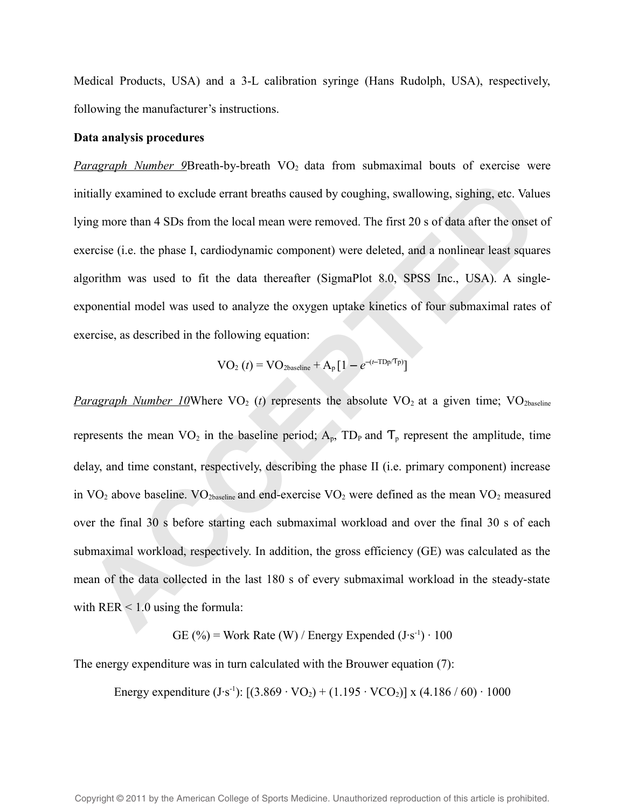Medical Products, USA) and a 3-L calibration syringe (Hans Rudolph, USA), respectively, following the manufacturer's instructions.

#### **Data analysis procedures**

*Paragraph Number 9*Breath-by-breath VO<sub>2</sub> data from submaximal bouts of exercise were initially examined to exclude errant breaths caused by coughing, swallowing, sighing, etc. Values lying more than 4 SDs from the local mean were removed. The first 20 s of data after the onset of exercise (i.e. the phase I, cardiodynamic component) were deleted, and a nonlinear least squares algorithm was used to fit the data thereafter (SigmaPlot 8.0, SPSS Inc., USA). A singleexponential model was used to analyze the oxygen uptake kinetics of four submaximal rates of exercise, as described in the following equation:

$$
VO_2(t) = VO_{2\textrm{baseline}} + A_p[1 - e^{-(t-TDp/Tp)}]
$$

*Paragraph Number 10*Where VO<sub>2</sub> (*t*) represents the absolute VO<sub>2</sub> at a given time; VO<sub>2baseline</sub> represents the mean  $VO_2$  in the baseline period;  $A_p$ ,  $TD_p$  and  $T_p$  represent the amplitude, time delay, and time constant, respectively, describing the phase II (i.e. primary component) increase in  $VO_2$  above baseline.  $VO_2$ <sub>baseline</sub> and end-exercise  $VO_2$  were defined as the mean  $VO_2$  measured over the final 30 s before starting each submaximal workload and over the final 30 s of each submaximal workload, respectively. In addition, the gross efficiency (GE) was calculated as the mean of the data collected in the last 180 s of every submaximal workload in the steady-state with  $RER < 1.0$  using the formula: Itially examined to exclude errant breaths caused by coughing, swallowing, sighing, etc. Valu<br>ing more than 4 SDs from the local mean were removed. The first 20 s of data after the onset<br>ercise (i.e. the phase I, cardiody

GE (%) = Work Rate (W) / Energy Expended  $(J·s<sup>-1</sup>) \cdot 100$ 

The energy expenditure was in turn calculated with the Brouwer equation (7):

Energy expenditure  $(J·s^{-1})$ :  $[(3.869 \cdot VO<sub>2</sub>) + (1.195 \cdot VCO<sub>2</sub>)]$  x  $(4.186 / 60) \cdot 1000$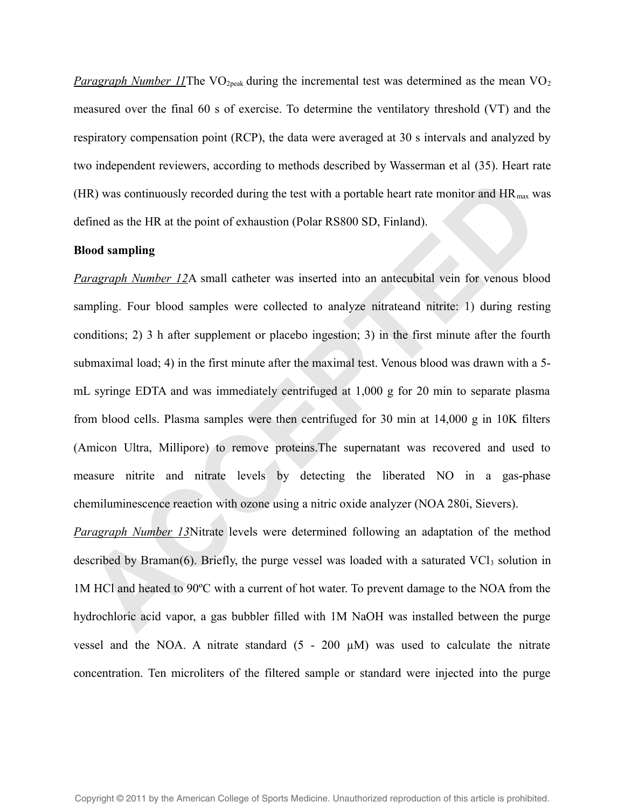*Paragraph Number 11*The VO<sub>2peak</sub> during the incremental test was determined as the mean VO<sub>2</sub> measured over the final 60 s of exercise. To determine the ventilatory threshold (VT) and the respiratory compensation point (RCP), the data were averaged at 30 s intervals and analyzed by two independent reviewers, according to methods described by Wasserman et al (35). Heart rate (HR) was continuously recorded during the test with a portable heart rate monitor and  $HR_{max}$  was defined as the HR at the point of exhaustion (Polar RS800 SD, Finland).

#### **Blood sampling**

*Paragraph Number 12*A small catheter was inserted into an antecubital vein for venous blood sampling. Four blood samples were collected to analyze nitrateand nitrite: 1) during resting conditions; 2) 3 h after supplement or placebo ingestion; 3) in the first minute after the fourth submaximal load; 4) in the first minute after the maximal test. Venous blood was drawn with a 5 mL syringe EDTA and was immediately centrifuged at 1,000 g for 20 min to separate plasma from blood cells. Plasma samples were then centrifuged for 30 min at 14,000 g in 10K filters (Amicon Ultra, Millipore) to remove proteins.The supernatant was recovered and used to measure nitrite and nitrate levels by detecting the liberated NO in a gas-phase chemiluminescence reaction with ozone using a nitric oxide analyzer (NOA 280i, Sievers). IR) was continuously recorded during the test with a portable heart rate monitor and HR<sub>mas</sub> we<br>fined as the HR at the point of exhaustion (Polar RS800 SD, Finland).<br>**Oood sampling**<br>**Coood sampling**<br>**ACCEPTED** and leaded

*Paragraph Number 13*Nitrate levels were determined following an adaptation of the method described by Braman(6). Briefly, the purge vessel was loaded with a saturated  $\text{VCI}_3$  solution in 1M HCl and heated to 90ºC with a current of hot water. To prevent damage to the NOA from the hydrochloric acid vapor, a gas bubbler filled with 1M NaOH was installed between the purge vessel and the NOA. A nitrate standard  $(5 - 200 \mu M)$  was used to calculate the nitrate concentration. Ten microliters of the filtered sample or standard were injected into the purge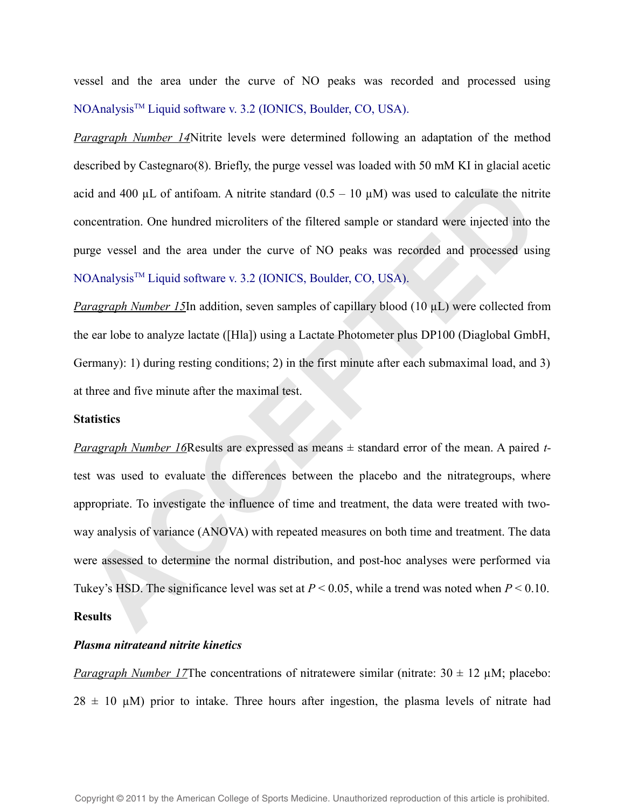vessel and the area under the curve of NO peaks was recorded and processed using NOAnalysis<sup>™</sup> Liquid software v. 3.2 (IONICS, Boulder, CO, USA).

*Paragraph Number 14*Nitrite levels were determined following an adaptation of the method described by Castegnaro(8). Briefly, the purge vessel was loaded with 50 mM KI in glacial acetic acid and 400  $\mu$ L of antifoam. A nitrite standard (0.5 – 10  $\mu$ M) was used to calculate the nitrite concentration. One hundred microliters of the filtered sample or standard were injected into the purge vessel and the area under the curve of NO peaks was recorded and processed using NOAnalysis<sup>™</sup> Liquid software v. 3.2 (IONICS, Boulder, CO, USA).

*Paragraph Number 15*In addition, seven samples of capillary blood (10 µL) were collected from the ear lobe to analyze lactate ([Hla]) using a Lactate Photometer plus DP100 (Diaglobal GmbH, Germany): 1) during resting conditions; 2) in the first minute after each submaximal load, and 3) at three and five minute after the maximal test.

#### **Statistics**

*Paragraph Number 16*Results are expressed as means ± standard error of the mean. A paired *t*test was used to evaluate the differences between the placebo and the nitrategroups, where appropriate. To investigate the influence of time and treatment, the data were treated with twoway analysis of variance (ANOVA) with repeated measures on both time and treatment. The data were assessed to determine the normal distribution, and post-hoc analyses were performed via Tukey's HSD. The significance level was set at  $P < 0.05$ , while a trend was noted when  $P < 0.10$ . **Results** id and 400 µL of antifoam. A nitrite standard  $(0.5 - 10 \mu M)$  was used to calculate the nitrinecentration. One hundred microliters of the filtered sample or standard were injected into the measurementation. One hundred mic

## *Plasma nitrateand nitrite kinetics*

*Paragraph Number 17*The concentrations of nitratewere similar (nitrate:  $30 \pm 12 \mu$ M; placebo:  $28 \pm 10$  µM) prior to intake. Three hours after ingestion, the plasma levels of nitrate had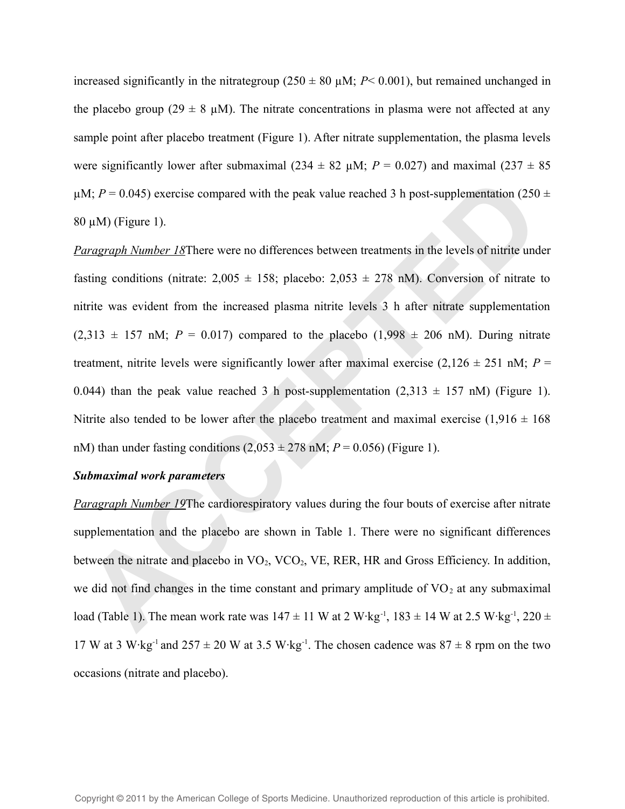increased significantly in the nitrategroup ( $250 \pm 80 \mu$ M; *P*< 0.001), but remained unchanged in the placebo group (29  $\pm$  8  $\mu$ M). The nitrate concentrations in plasma were not affected at any sample point after placebo treatment (Figure 1). After nitrate supplementation, the plasma levels were significantly lower after submaximal (234  $\pm$  82  $\mu$ M; *P* = 0.027) and maximal (237  $\pm$  85  $\mu$ M; *P* = 0.045) exercise compared with the peak value reached 3 h post-supplementation (250  $\pm$  $80 \mu M$ ) (Figure 1).

*Paragraph Number 18*There were no differences between treatments in the levels of nitrite under fasting conditions (nitrate:  $2,005 \pm 158$ ; placebo:  $2,053 \pm 278$  nM). Conversion of nitrate to nitrite was evident from the increased plasma nitrite levels 3 h after nitrate supplementation  $(2,313 \pm 157 \text{ nM}; P = 0.017)$  compared to the placebo  $(1,998 \pm 206 \text{ nM})$ . During nitrate treatment, nitrite levels were significantly lower after maximal exercise  $(2,126 \pm 251 \text{ nM}; P =$ 0.044) than the peak value reached 3 h post-supplementation  $(2,313 \pm 157 \text{ nM})$  (Figure 1). Nitrite also tended to be lower after the placebo treatment and maximal exercise  $(1,916 \pm 168)$ nM) than under fasting conditions  $(2,053 \pm 278 \text{ nM}; P = 0.056)$  (Figure 1). M;  $P = 0.045$ ) exercise compared with the peak value reached 3 h post-supplementation (250  $\mu$ M) (Figure 1).<br> *ACCEPTED*  $\mu$ M) (Figure 1).<br> *ACCEPTED*  $\mu$ M) (Figure 1).<br> *ACCEPTED*  $\mu$ Minions (mitrate: 2,005  $\pm$  158;

#### *Submaximal work parameters*

*Paragraph Number 19*The cardiorespiratory values during the four bouts of exercise after nitrate supplementation and the placebo are shown in Table 1. There were no significant differences between the nitrate and placebo in  $VO<sub>2</sub>$ ,  $VCO<sub>2</sub>$ , VE, RER, HR and Gross Efficiency. In addition, we did not find changes in the time constant and primary amplitude of  $VO<sub>2</sub>$  at any submaximal load (Table 1). The mean work rate was  $147 \pm 11$  W at  $2 \text{ W} \cdot \text{kg}^{-1}$ ,  $183 \pm 14$  W at  $2.5 \text{ W} \cdot \text{kg}^{-1}$ ,  $220 \pm 14$ 17 W at 3 W·kg<sup>-1</sup> and  $257 \pm 20$  W at 3.5 W·kg<sup>-1</sup>. The chosen cadence was  $87 \pm 8$  rpm on the two occasions (nitrate and placebo).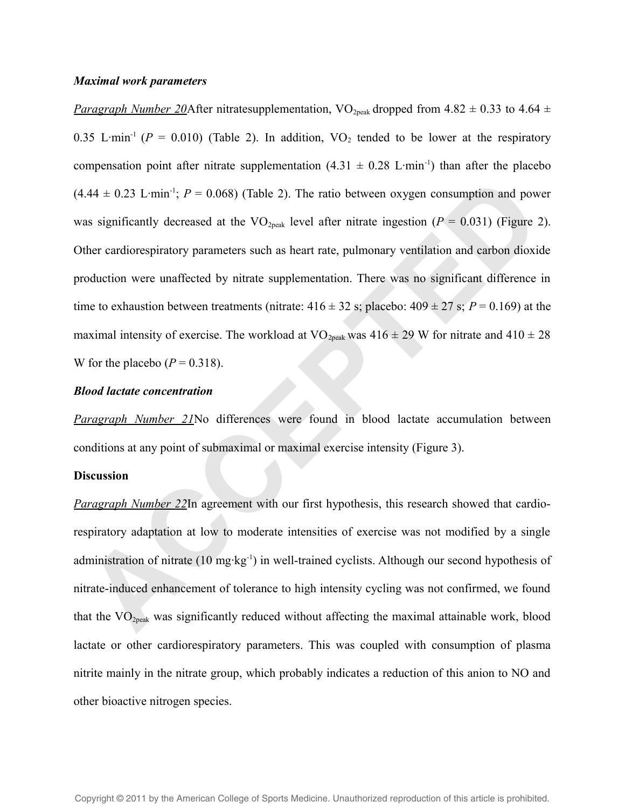#### *Maximal work parameters*

*Paragraph Number 20*After nitratesupplementation, VO<sub>2peak</sub> dropped from 4.82  $\pm$  0.33 to 4.64  $\pm$ 0.35 L·min<sup>-1</sup> ( $P = 0.010$ ) (Table 2). In addition, VO<sub>2</sub> tended to be lower at the respiratory compensation point after nitrate supplementation  $(4.31 \pm 0.28 \text{ L} \cdot \text{min}^{-1})$  than after the placebo  $(4.44 \pm 0.23 \text{ L·min}^{-1}; P = 0.068)$  (Table 2). The ratio between oxygen consumption and power was significantly decreased at the  $VO<sub>2peak</sub>$  level after nitrate ingestion ( $P = 0.031$ ) (Figure 2). Other cardiorespiratory parameters such as heart rate, pulmonary ventilation and carbon dioxide production were unaffected by nitrate supplementation. There was no significant difference in time to exhaustion between treatments (nitrate:  $416 \pm 32$  s; placebo:  $409 \pm 27$  s;  $P = 0.169$ ) at the maximal intensity of exercise. The workload at VO<sub>2peak</sub> was  $416 \pm 29$  W for nitrate and  $410 \pm 28$ W for the placebo  $(P = 0.318)$ . A4 ± 0.23 L-min<sup>-1</sup>;  $P = 0.068$ ) (Table 2). The ratio between oxygen consumption and pow<br>as significantly decreased at the VO<sub>3pets</sub> level after nitrate ingestion ( $P = 0.031$ ) (Figure 2<br>ther cardiorespiratory parameters s

#### *Blood lactate concentration*

*Paragraph Number 21*No differences were found in blood lactate accumulation between conditions at any point of submaximal or maximal exercise intensity (Figure 3).

#### **Discussion**

*Paragraph Number 22*In agreement with our first hypothesis, this research showed that cardiorespiratory adaptation at low to moderate intensities of exercise was not modified by a single administration of nitrate (10 mg·kg-1) in well-trained cyclists. Although our second hypothesis of nitrate-induced enhancement of tolerance to high intensity cycling was not confirmed, we found that the VO<sub>2peak</sub> was significantly reduced without affecting the maximal attainable work, blood lactate or other cardiorespiratory parameters. This was coupled with consumption of plasma nitrite mainly in the nitrate group, which probably indicates a reduction of this anion to NO and other bioactive nitrogen species.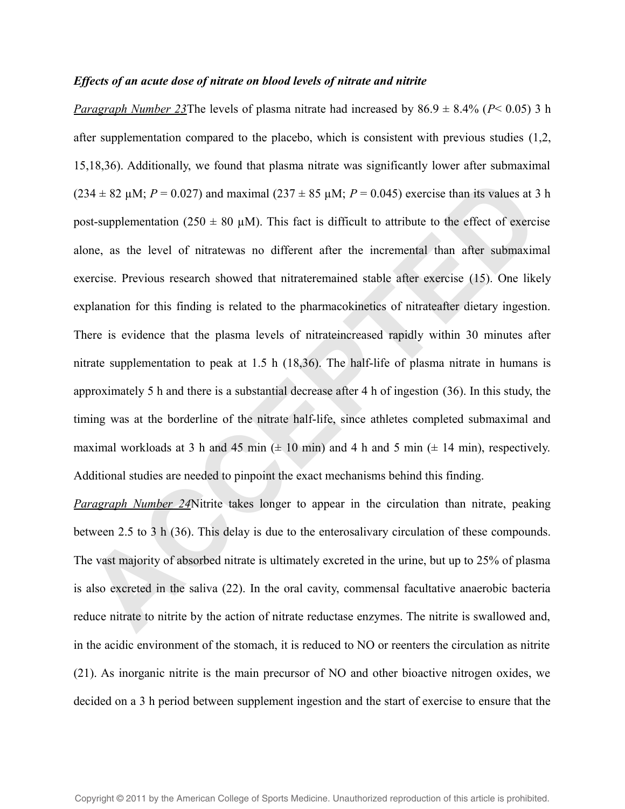#### *Effects of an acute dose of nitrate on blood levels of nitrate and nitrite*

*Paragraph Number 23The levels of plasma nitrate had increased by*  $86.9 \pm 8.4\%$  *(<i>P*< 0.05) 3 h after supplementation compared to the placebo, which is consistent with previous studies (1,2, 15,18,36). Additionally, we found that plasma nitrate was significantly lower after submaximal  $(234 \pm 82 \,\mu\text{M}; P = 0.027)$  and maximal  $(237 \pm 85 \,\mu\text{M}; P = 0.045)$  exercise than its values at 3 h post-supplementation (250  $\pm$  80  $\mu$ M). This fact is difficult to attribute to the effect of exercise alone, as the level of nitratewas no different after the incremental than after submaximal exercise. Previous research showed that nitrateremained stable after exercise (15). One likely explanation for this finding is related to the pharmacokinetics of nitrateafter dietary ingestion. There is evidence that the plasma levels of nitrateincreased rapidly within 30 minutes after nitrate supplementation to peak at 1.5 h (18,36). The half-life of plasma nitrate in humans is approximately 5 h and there is a substantial decrease after 4 h of ingestion (36). In this study, the timing was at the borderline of the nitrate half-life, since athletes completed submaximal and maximal workloads at 3 h and 45 min  $(\pm 10 \text{ min})$  and 4 h and 5 min  $(\pm 14 \text{ min})$ , respectively. Additional studies are needed to pinpoint the exact mechanisms behind this finding. 34 ± 82 µM;  $P = 0.027$ ) and maximal (237 ± 85 µM;  $P = 0.045$ ) exercise than its values at 3<br>st-supplementation (250 ± 80 µM). This fact is difficult to attribute to the effect of exerci-<br>one, as the level of nitratewas no

*Paragraph Number 24*Nitrite takes longer to appear in the circulation than nitrate, peaking between 2.5 to 3 h (36). This delay is due to the enterosalivary circulation of these compounds. The vast majority of absorbed nitrate is ultimately excreted in the urine, but up to 25% of plasma is also excreted in the saliva (22). In the oral cavity, commensal facultative anaerobic bacteria reduce nitrate to nitrite by the action of nitrate reductase enzymes. The nitrite is swallowed and, in the acidic environment of the stomach, it is reduced to NO or reenters the circulation as nitrite (21). As inorganic nitrite is the main precursor of NO and other bioactive nitrogen oxides, we decided on a 3 h period between supplement ingestion and the start of exercise to ensure that the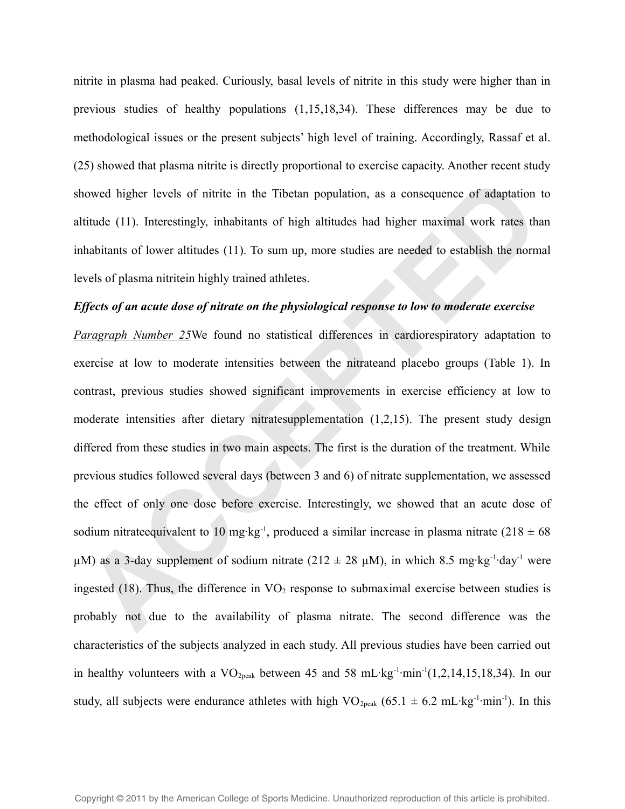nitrite in plasma had peaked. Curiously, basal levels of nitrite in this study were higher than in previous studies of healthy populations (1,15,18,34). These differences may be due to methodological issues or the present subjects' high level of training. Accordingly, Rassaf et al. (25) showed that plasma nitrite is directly proportional to exercise capacity. Another recent study showed higher levels of nitrite in the Tibetan population, as a consequence of adaptation to altitude (11). Interestingly, inhabitants of high altitudes had higher maximal work rates than inhabitants of lower altitudes (11). To sum up, more studies are needed to establish the normal levels of plasma nitritein highly trained athletes.

## *Effects of an acute dose of nitrate on the physiological response to low to moderate exercise*

*Paragraph Number 25*We found no statistical differences in cardiorespiratory adaptation to exercise at low to moderate intensities between the nitrateand placebo groups (Table 1). In contrast, previous studies showed significant improvements in exercise efficiency at low to moderate intensities after dietary nitratesupplementation (1,2,15). The present study design differed from these studies in two main aspects. The first is the duration of the treatment. While previous studies followed several days (between 3 and 6) of nitrate supplementation, we assessed the effect of only one dose before exercise. Interestingly, we showed that an acute dose of sodium nitrateequivalent to 10 mg·kg<sup>-1</sup>, produced a similar increase in plasma nitrate (218  $\pm$  68  $\mu$ M) as a 3-day supplement of sodium nitrate (212  $\pm$  28  $\mu$ M), in which 8.5 mg·kg<sup>-1</sup>·day<sup>-1</sup> were ingested (18). Thus, the difference in  $VO<sub>2</sub>$  response to submaximal exercise between studies is probably not due to the availability of plasma nitrate. The second difference was the characteristics of the subjects analyzed in each study. All previous studies have been carried out in healthy volunteers with a  $VO_{2peak}$  between 45 and 58 mL·kg<sup>-1</sup>·min<sup>-1</sup>(1,2,14,15,18,34). In our study, all subjects were endurance athletes with high VO<sub>2peak</sub> (65.1  $\pm$  6.2 mL·kg<sup>-1</sup>·min<sup>-1</sup>). In this lowed higher levels of nitrite in the Tibetan population, as a consequence of adaptation<br>titude (11). Interestingly, inhabitants of high altitudes had higher maximal work rates tha<br>habitants of lower altitudes (11). To su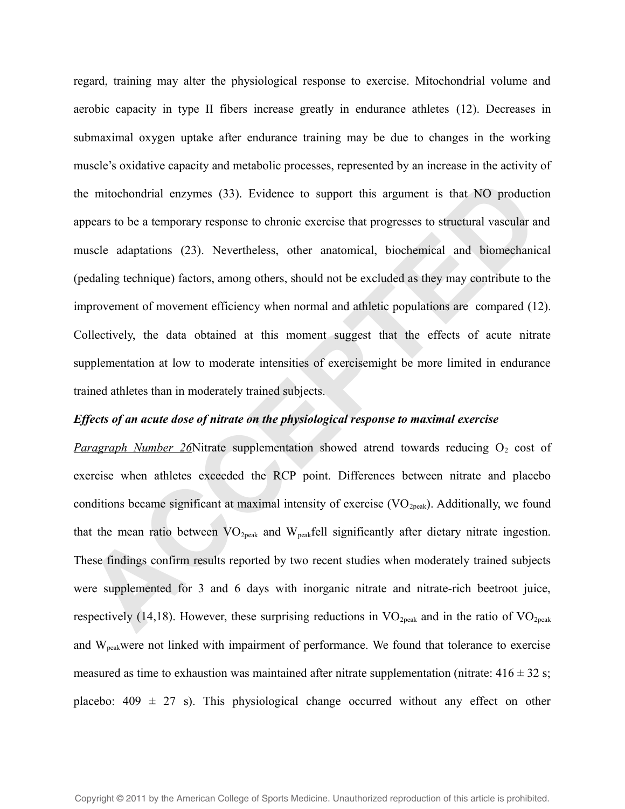regard, training may alter the physiological response to exercise. Mitochondrial volume and aerobic capacity in type II fibers increase greatly in endurance athletes (12). Decreases in submaximal oxygen uptake after endurance training may be due to changes in the working muscle's oxidative capacity and metabolic processes, represented by an increase in the activity of the mitochondrial enzymes (33). Evidence to support this argument is that NO production appears to be a temporary response to chronic exercise that progresses to structural vascular and muscle adaptations (23). Nevertheless, other anatomical, biochemical and biomechanical (pedaling technique) factors, among others, should not be excluded as they may contribute to the improvement of movement efficiency when normal and athletic populations are compared (12). Collectively, the data obtained at this moment suggest that the effects of acute nitrate supplementation at low to moderate intensities of exercisemight be more limited in endurance trained athletes than in moderately trained subjects. e mitochondrial enzymes (33). Evidence to support this argument is that NO production-<br>spears to be a temporary response to chronic exercise that progresses to structural vascular an<br>scale adaptations (23). Nevertheless,

## *Effects of an acute dose of nitrate on the physiological response to maximal exercise*

*Paragraph Number 26*Nitrate supplementation showed atrend towards reducing O<sub>2</sub> cost of exercise when athletes exceeded the RCP point. Differences between nitrate and placebo conditions became significant at maximal intensity of exercise  $(VO_{2peak})$ . Additionally, we found that the mean ratio between  $VO_{2peak}$  and  $W_{peak}$ fell significantly after dietary nitrate ingestion. These findings confirm results reported by two recent studies when moderately trained subjects were supplemented for 3 and 6 days with inorganic nitrate and nitrate-rich beetroot juice, respectively (14,18). However, these surprising reductions in  $VO<sub>2peak</sub>$  and in the ratio of  $VO<sub>2peak</sub>$ and Wpeakwere not linked with impairment of performance. We found that tolerance to exercise measured as time to exhaustion was maintained after nitrate supplementation (nitrate:  $416 \pm 32$  s; placebo:  $409 \pm 27$  s). This physiological change occurred without any effect on other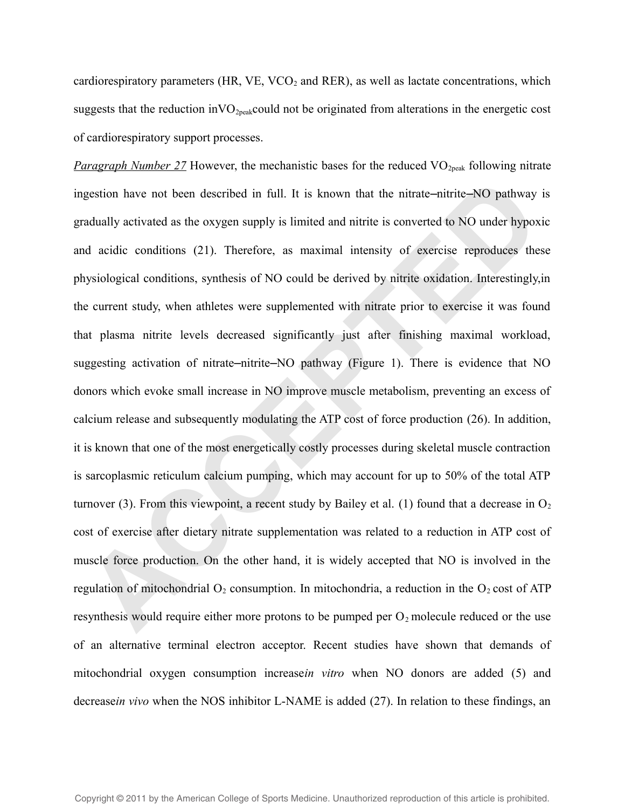cardiorespiratory parameters (HR, VE, VCO<sub>2</sub> and RER), as well as lactate concentrations, which suggests that the reduction in  $VO_{2peak}$ could not be originated from alterations in the energetic cost of cardiorespiratory support processes.

*Paragraph Number 27* However, the mechanistic bases for the reduced VO<sub>2peak</sub> following nitrate ingestion have not been described in full. It is known that the nitrate—nitrite—NO pathway is gradually activated as the oxygen supply is limited and nitrite is converted to NO under hypoxic and acidic conditions (21). Therefore, as maximal intensity of exercise reproduces these physiological conditions, synthesis of NO could be derived by nitrite oxidation. Interestingly,in the current study, when athletes were supplemented with nitrate prior to exercise it was found that plasma nitrite levels decreased significantly just after finishing maximal workload, suggesting activation of nitrate-nitrite-NO pathway (Figure 1). There is evidence that NO donors which evoke small increase in NO improve muscle metabolism, preventing an excess of calcium release and subsequently modulating the ATP cost of force production (26). In addition, it is known that one of the most energetically costly processes during skeletal muscle contraction is sarcoplasmic reticulum calcium pumping, which may account for up to 50% of the total ATP turnover (3). From this viewpoint, a recent study by Bailey et al. (1) found that a decrease in  $O_2$ cost of exercise after dietary nitrate supplementation was related to a reduction in ATP cost of muscle force production. On the other hand, it is widely accepted that NO is involved in the regulation of mitochondrial  $O_2$  consumption. In mitochondria, a reduction in the  $O_2$  cost of ATP resynthesis would require either more protons to be pumped per  $O_2$  molecule reduced or the use of an alternative terminal electron acceptor. Recent studies have shown that demands of mitochondrial oxygen consumption increase*in vitro* when NO donors are added (5) and decrease*in vivo* when the NOS inhibitor L-NAME is added (27). In relation to these findings, an gestion have not been described in full. It is known that the nitrate-nitrite-NO pathway adually activated as the oxygen supply is limited and mitric is converted to NO under hypox d acidic conditions (21). Therefore, as m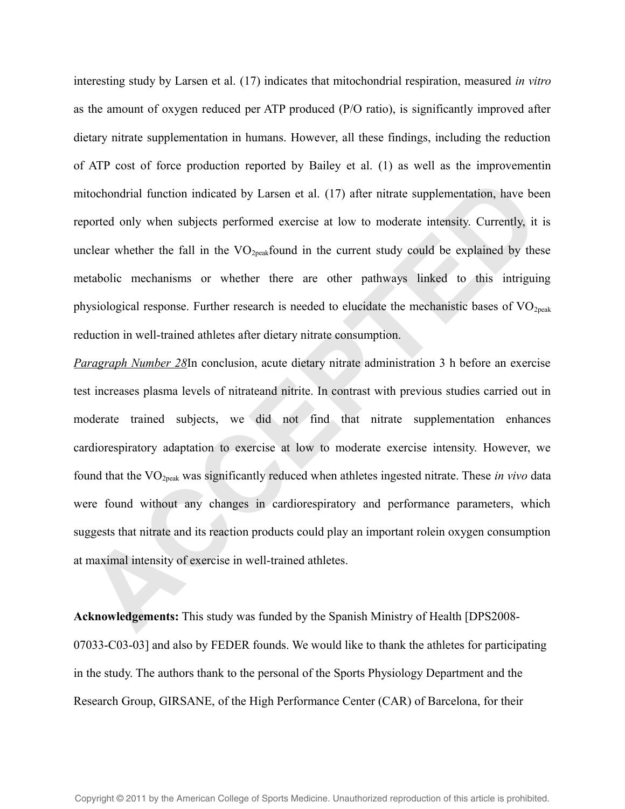interesting study by Larsen et al. (17) indicates that mitochondrial respiration, measured *in vitro* as the amount of oxygen reduced per ATP produced (P/O ratio), is significantly improved after dietary nitrate supplementation in humans. However, all these findings, including the reduction of ATP cost of force production reported by Bailey et al. (1) as well as the improvementin mitochondrial function indicated by Larsen et al. (17) after nitrate supplementation, have been reported only when subjects performed exercise at low to moderate intensity. Currently, it is unclear whether the fall in the  $VO_{2neak}$  found in the current study could be explained by these metabolic mechanisms or whether there are other pathways linked to this intriguing physiological response. Further research is needed to elucidate the mechanistic bases of  $VO<sub>2peak</sub>$ reduction in well-trained athletes after dietary nitrate consumption.

*Paragraph Number 28*In conclusion, acute dietary nitrate administration 3 h before an exercise test increases plasma levels of nitrateand nitrite. In contrast with previous studies carried out in moderate trained subjects, we did not find that nitrate supplementation enhances cardiorespiratory adaptation to exercise at low to moderate exercise intensity. However, we found that the VO2peak was significantly reduced when athletes ingested nitrate. These *in vivo* data were found without any changes in cardiorespiratory and performance parameters, which suggests that nitrate and its reaction products could play an important rolein oxygen consumption at maximal intensity of exercise in well-trained athletes. itiochondrial function indicated by Larsen et al. (17) after nitrate supplementation, have be<br>prorted only when subjects performed exercise at low to moderate intensity. Currently, it<br>clear whether the fall in the VO<sub>rpau</sub>

**Acknowledgements:** This study was funded by the Spanish Ministry of Health [DPS2008- 07033-C03-03] and also by FEDER founds. We would like to thank the athletes for participating in the study. The authors thank to the personal of the Sports Physiology Department and the Research Group, GIRSANE, of the High Performance Center (CAR) of Barcelona, for their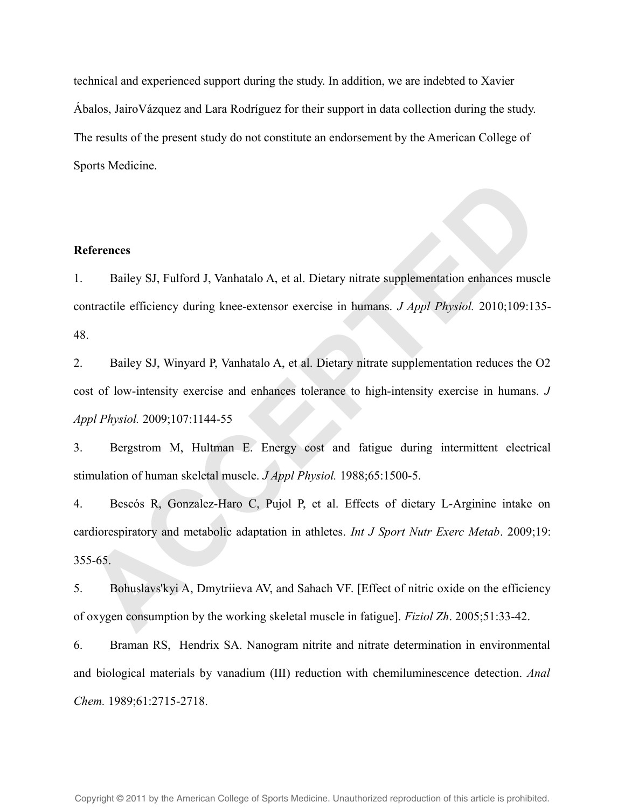technical and experienced support during the study. In addition, we are indebted to Xavier Ábalos, JairoVázquez and Lara Rodríguez for their support in data collection during the study. The results of the present study do not constitute an endorsement by the American College of Sports Medicine.

#### **References**

1. Bailey SJ, Fulford J, Vanhatalo A, et al. Dietary nitrate supplementation enhances muscle contractile efficiency during knee-extensor exercise in humans. *J Appl Physiol.* 2010;109:135- 48.

2. Bailey SJ, Winyard P, Vanhatalo A, et al. Dietary nitrate supplementation reduces the O2 cost of low-intensity exercise and enhances tolerance to high-intensity exercise in humans. *J Appl Physiol.* 2009;107:1144-55 **Example 19 Example 12 Except 10 Alternative Constant Control of the CISEN CONSTRET CONSTRAND CONSTRAND POSTAL DETECT ON USER 15-65-65.<br>
A Bailey SJ, Winyard P, Vanhatalo A, et al. Dietary nitrate supplementation reduces t** 

3. Bergstrom M, Hultman E. Energy cost and fatigue during intermittent electrical stimulation of human skeletal muscle. *J Appl Physiol.* 1988;65:1500-5.

4. Bescós R, Gonzalez-Haro C, Pujol P, et al. Effects of dietary L-Arginine intake on cardiorespiratory and metabolic adaptation in athletes. *Int J Sport Nutr Exerc Metab*. 2009;19: 355-65.

5. Bohuslavs'kyi A, Dmytriieva AV, and Sahach VF. [Effect of nitric oxide on the efficiency of oxygen consumption by the working skeletal muscle in fatigue]. *Fiziol Zh*. 2005;51:33-42.

6. Braman RS, Hendrix SA. Nanogram nitrite and nitrate determination in environmental and biological materials by vanadium (III) reduction with chemiluminescence detection. *Anal Chem.* 1989;61:2715-2718.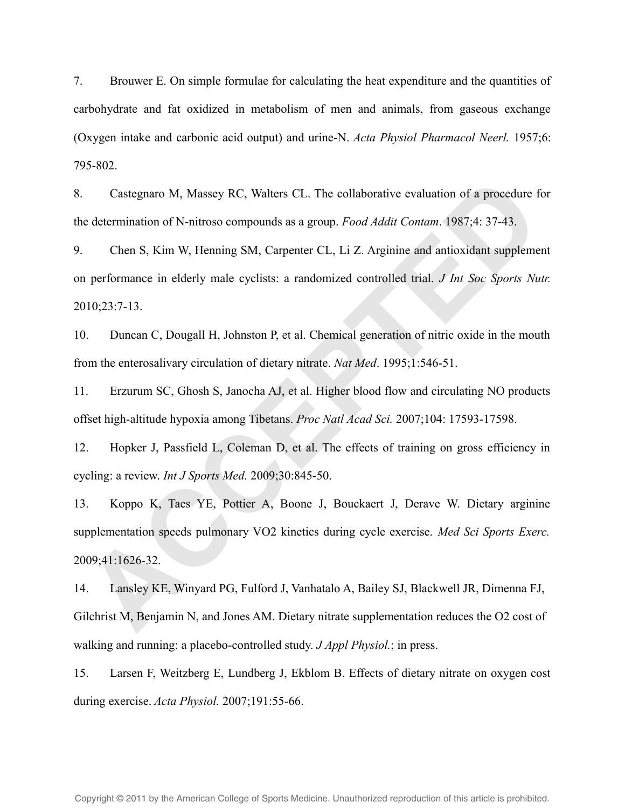7. Brouwer E. On simple formulae for calculating the heat expenditure and the quantities of carbohydrate and fat oxidized in metabolism of men and animals, from gaseous exchange (Oxygen intake and carbonic acid output) and urine-N. *Acta Physiol Pharmacol Neerl.* 1957;6: 795-802.

8. Castegnaro M, Massey RC, Walters CL. The collaborative evaluation of a procedure for the determination of N-nitroso compounds as a group. *Food Addit Contam*. 1987;4: 37-43.

9. Chen S, Kim W, Henning SM, Carpenter CL, Li Z. Arginine and antioxidant supplement on performance in elderly male cyclists: a randomized controlled trial. *J Int Soc Sports Nutr.* 2010;23:7-13.

10. Duncan C, Dougall H, Johnston P, et al. Chemical generation of nitric oxide in the mouth from the enterosalivary circulation of dietary nitrate. *Nat Med*. 1995;1:546-51.

11. Erzurum SC, Ghosh S, Janocha AJ, et al. Higher blood flow and circulating NO products offset high-altitude hypoxia among Tibetans. *Proc Natl Acad Sci.* 2007;104: 17593-17598.

12. Hopker J, Passfield L, Coleman D, et al. The effects of training on gross efficiency in cycling: a review. *Int J Sports Med.* 2009;30:845-50.

13. Koppo K, Taes YE, Pottier A, Boone J, Bouckaert J, Derave W. Dietary arginine supplementation speeds pulmonary VO2 kinetics during cycle exercise. *Med Sci Sports Exerc.* 2009;41:1626-32. Castegnaro M, Massey RC, Walters CL. The collaborative evaluation of a procedure f<br>e determination of N-nitroso compounds as a group. *Food Addit Contam*. 1987;4: 37-43.<br>Chen S, Kim W, Henning SM, Carpenter CL, Li Z. Argin

14. Lansley KE, Winyard PG, Fulford J, Vanhatalo A, Bailey SJ, Blackwell JR, Dimenna FJ, Gilchrist M, Benjamin N, and Jones AM. Dietary nitrate supplementation reduces the O2 cost of walking and running: a placebo-controlled study. *J Appl Physiol.*; in press.

15. Larsen F, Weitzberg E, Lundberg J, Ekblom B. Effects of dietary nitrate on oxygen cost during exercise. *Acta Physiol.* 2007;191:55-66.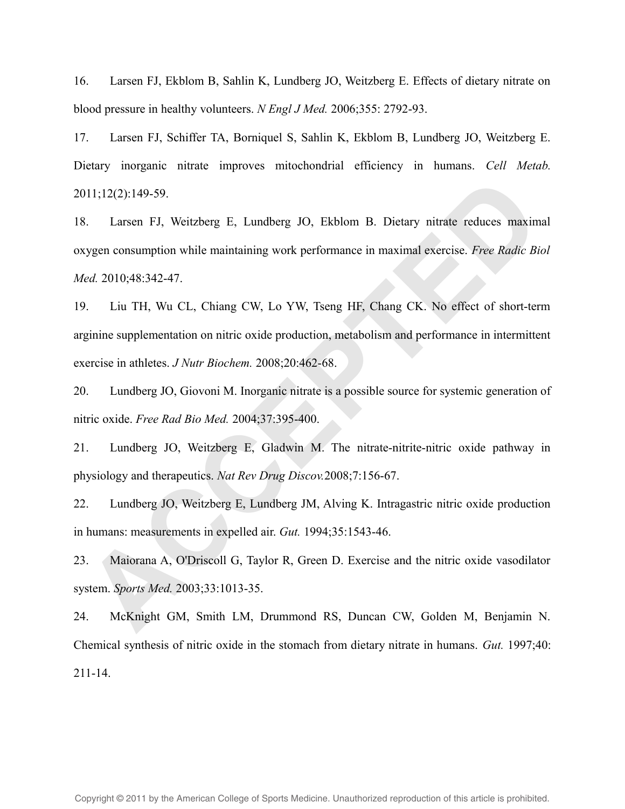16. Larsen FJ, Ekblom B, Sahlin K, Lundberg JO, Weitzberg E. Effects of dietary nitrate on blood pressure in healthy volunteers. *N Engl J Med.* 2006;355: 2792-93.

17. Larsen FJ, Schiffer TA, Borniquel S, Sahlin K, Ekblom B, Lundberg JO, Weitzberg E. Dietary inorganic nitrate improves mitochondrial efficiency in humans. *Cell Metab.* 2011;12(2):149-59.

18. Larsen FJ, Weitzberg E, Lundberg JO, Ekblom B. Dietary nitrate reduces maximal oxygen consumption while maintaining work performance in maximal exercise. *Free Radic Biol Med.* 2010;48:342-47. 11;12(2):149-59.<br> **ACCE 11:2**(2):149-59.<br> **ACCE 12:** Tarsen FJ, Weitzberg F, Lundberg JO, Fkblom B. Dictary nitrate reduces maximized reduces the maximal exercise. *Free Radic Bi*<br> *Ed.* 2010;48:342-47.<br> **ACCE 12:** TH, Wu

19. Liu TH, Wu CL, Chiang CW, Lo YW, Tseng HF, Chang CK. No effect of short-term arginine supplementation on nitric oxide production, metabolism and performance in intermittent exercise in athletes. *J Nutr Biochem.* 2008;20:462-68.

20. Lundberg JO, Giovoni M. Inorganic nitrate is a possible source for systemic generation of nitric oxide. *Free Rad Bio Med.* 2004;37:395-400.

21. Lundberg JO, Weitzberg E, Gladwin M. The nitrate-nitrite-nitric oxide pathway in physiology and therapeutics. *Nat Rev Drug Discov.*2008;7:156-67.

22. Lundberg JO, Weitzberg E, Lundberg JM, Alving K. Intragastric nitric oxide production in humans: measurements in expelled air. *Gut.* 1994;35:1543-46.

23. Maiorana A, O'Driscoll G, Taylor R, Green D. Exercise and the nitric oxide vasodilator system. *Sports Med.* 2003;33:1013-35.

24. McKnight GM, Smith LM, Drummond RS, Duncan CW, Golden M, Benjamin N. Chemical synthesis of nitric oxide in the stomach from dietary nitrate in humans. *Gut.* 1997;40: 211-14.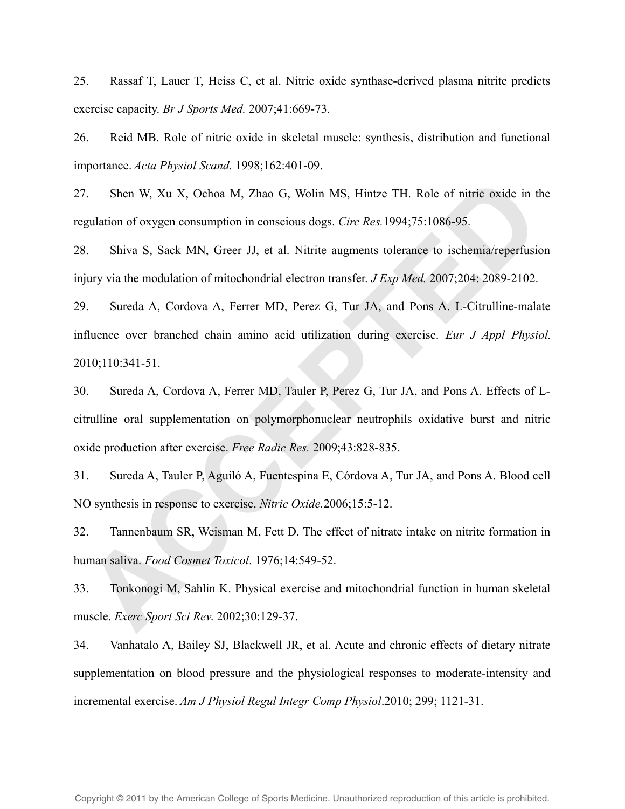25. Rassaf T, Lauer T, Heiss C, et al. Nitric oxide synthase-derived plasma nitrite predicts exercise capacity. *Br J Sports Med.* 2007;41:669-73.

26. Reid MB. Role of nitric oxide in skeletal muscle: synthesis, distribution and functional importance. *Acta Physiol Scand.* 1998;162:401-09.

27. Shen W, Xu X, Ochoa M, Zhao G, Wolin MS, Hintze TH. Role of nitric oxide in the regulation of oxygen consumption in conscious dogs. *Circ Res.*1994;75:1086-95.

28. Shiva S, Sack MN, Greer JJ, et al. Nitrite augments tolerance to ischemia/reperfusion injury via the modulation of mitochondrial electron transfer. *J Exp Med.* 2007;204: 2089-2102.

29. Sureda A, Cordova A, Ferrer MD, Perez G, Tur JA, and Pons A. L-Citrulline-malate influence over branched chain amino acid utilization during exercise. *Eur J Appl Physiol.* 2010;110:341-51. 7. Shen W, Xu X, Ochoa M, Zhao G, Wolin MS, Hintze TH. Role of nitric oxide in the gulation of oxygen consumption in conscious dogs. *Circ Res.* 1994;75:1086-95.<br>
ACCEPTE Shiva S, Sack MN, Greer JJ, et al. Nitrite augments

30. Sureda A, Cordova A, Ferrer MD, Tauler P, Perez G, Tur JA, and Pons A. Effects of Lcitrulline oral supplementation on polymorphonuclear neutrophils oxidative burst and nitric oxide production after exercise. *Free Radic Res.* 2009;43:828-835.

31. Sureda A, Tauler P, Aguiló A, Fuentespina E, Córdova A, Tur JA, and Pons A. Blood cell NO synthesis in response to exercise. *Nitric Oxide.*2006;15:5-12.

32. Tannenbaum SR, Weisman M, Fett D. The effect of nitrate intake on nitrite formation in human saliva. *Food Cosmet Toxicol*. 1976;14:549-52.

33. Tonkonogi M, Sahlin K. Physical exercise and mitochondrial function in human skeletal muscle. *Exerc Sport Sci Rev*. 2002;30:129-37.

34. Vanhatalo A, Bailey SJ, Blackwell JR, et al. Acute and chronic effects of dietary nitrate supplementation on blood pressure and the physiological responses to moderate-intensity and incremental exercise. *Am J Physiol Regul Integr Comp Physiol*.2010; 299; 1121-31.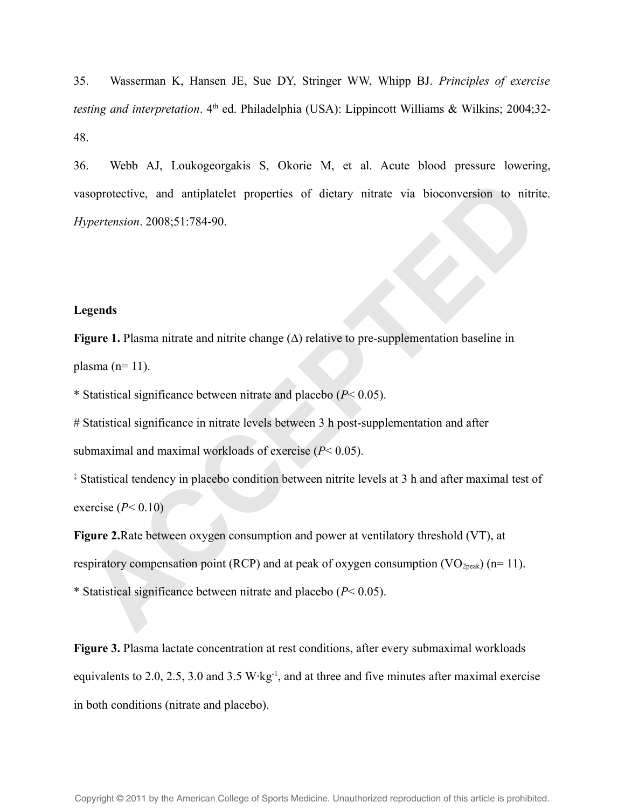35. Wasserman K, Hansen JE, Sue DY, Stringer WW, Whipp BJ. *Principles of exercise testing and interpretation*. 4<sup>th</sup> ed. Philadelphia (USA): Lippincott Williams & Wilkins; 2004;32-48.

36. Webb AJ, Loukogeorgakis S, Okorie M, et al. Acute blood pressure lowering, vasoprotective, and antiplatelet properties of dietary nitrate via bioconversion to nitrite. *Hypertension*. 2008;51:784-90. soprotective, and antiplatelet properties of dietary nitrate via bioconversion to nitrity<br>previewsion. 2008;51:784-90.<br> **ACCEPTED**<br> **ACCEPTED**<br> **ACCEPTED**<br> **ACCEPTED**<br> **ACCEPTED**<br> **ACCEPTED**<br> **ACCEPTED**<br> **ACCEPTED**<br> **ACC** 

### **Legends**

**Figure 1.** Plasma nitrate and nitrite change (∆) relative to pre-supplementation baseline in plasma  $(n=11)$ .

\* Statistical significance between nitrate and placebo (*P*< 0.05).

# Statistical significance in nitrate levels between 3 h post-supplementation and after submaximal and maximal workloads of exercise (*P*< 0.05).

‡ Statistical tendency in placebo condition between nitrite levels at 3 h and after maximal test of exercise  $(P< 0.10)$ 

**Figure 2.**Rate between oxygen consumption and power at ventilatory threshold (VT), at respiratory compensation point (RCP) and at peak of oxygen consumption (VO<sub>2peak</sub>) (n= 11).

\* Statistical significance between nitrate and placebo (*P*< 0.05).

**Figure 3.** Plasma lactate concentration at rest conditions, after every submaximal workloads equivalents to 2.0, 2.5, 3.0 and 3.5 W·kg<sup>-1</sup>, and at three and five minutes after maximal exercise in both conditions (nitrate and placebo).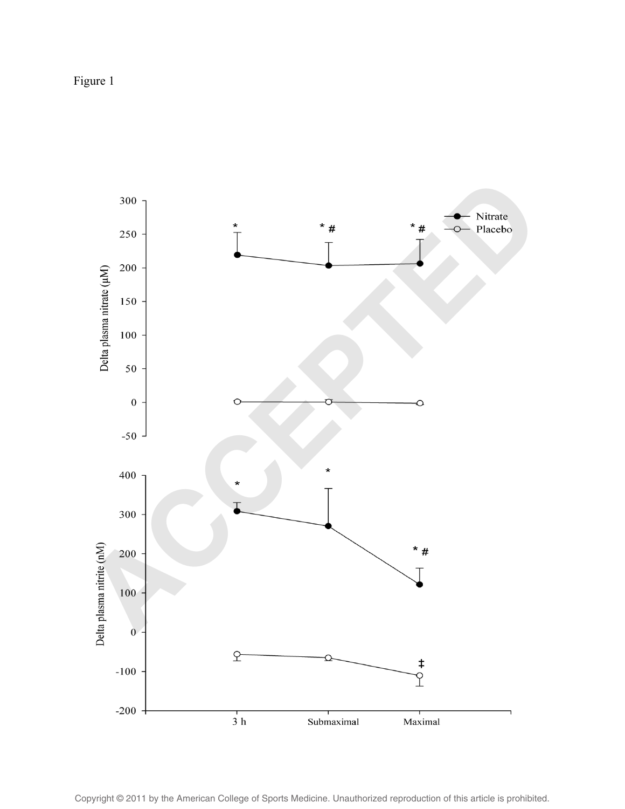Figure 1



Copyright © 2011 by the American College of Sports Medicine. Unauthorized reproduction of this article is prohibited.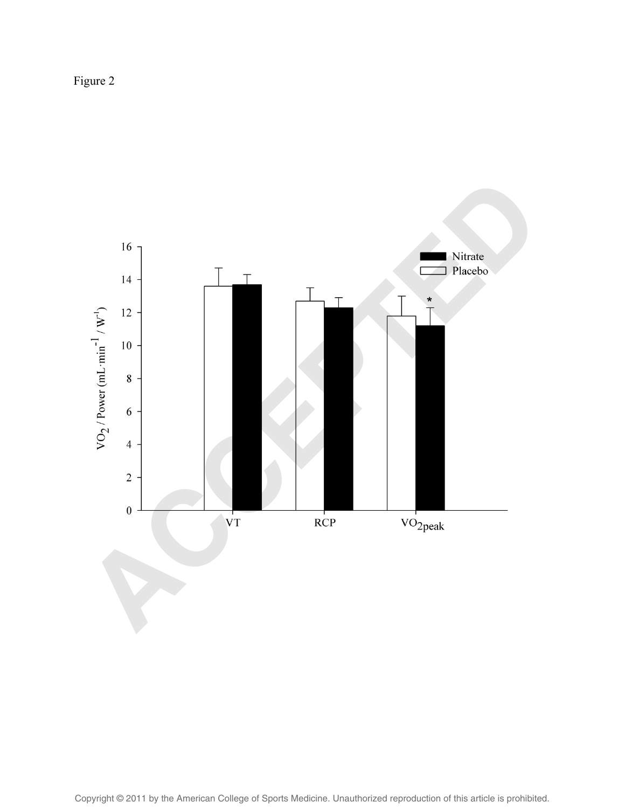Figure 2

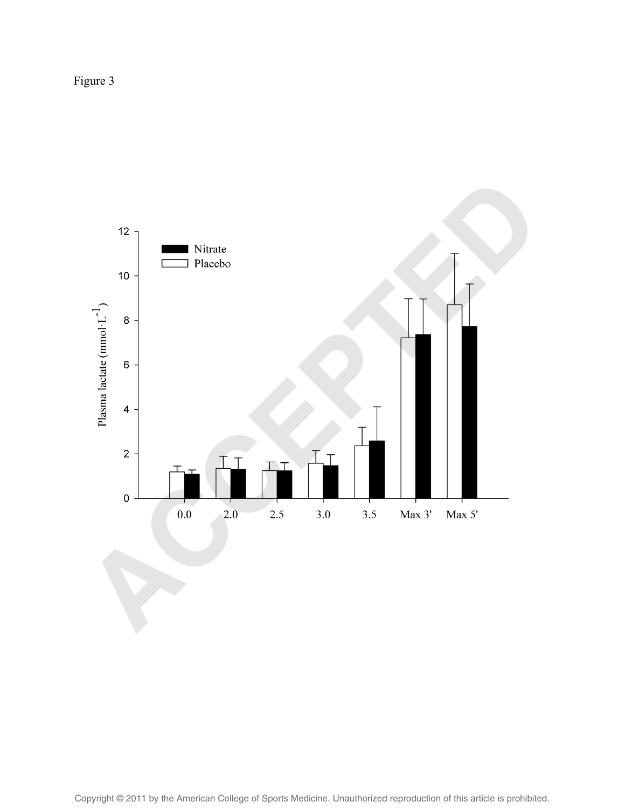Figure 3

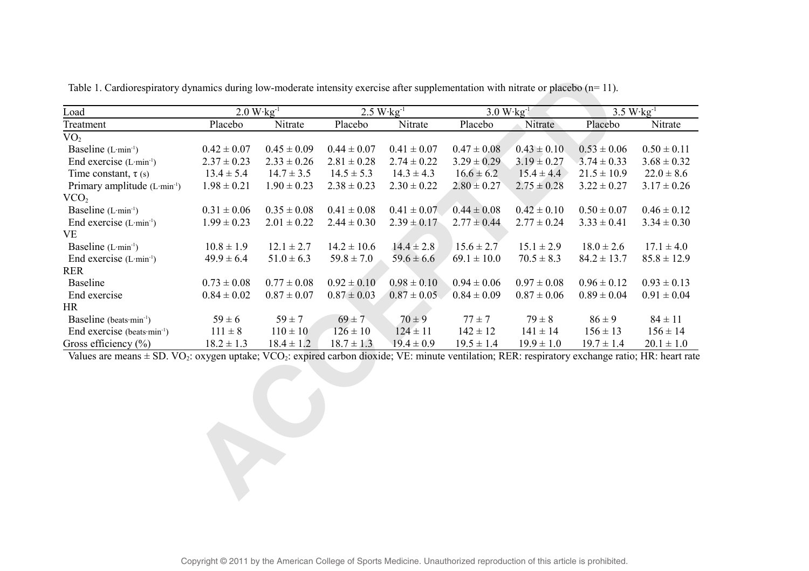| Load                                     | $2.0 W kg^{-1}$ |                 | $2.5 W kg^{-1}$ |                 | $3.0 W kg-1$    |                 |                 | $3.5 W \cdot kg^{-1}$ |
|------------------------------------------|-----------------|-----------------|-----------------|-----------------|-----------------|-----------------|-----------------|-----------------------|
| Treatment                                | Placebo         | Nitrate         | Placebo         | Nitrate         | Placebo         | Nitrate         | Placebo         | Nitrate               |
| VO <sub>2</sub>                          |                 |                 |                 |                 |                 |                 |                 |                       |
| Baseline $(L·min-1)$                     | $0.42 \pm 0.07$ | $0.45 \pm 0.09$ | $0.44 \pm 0.07$ | $0.41 \pm 0.07$ | $0.47 \pm 0.08$ | $0.43 \pm 0.10$ | $0.53 \pm 0.06$ | $0.50 \pm 0.11$       |
| End exercise $(L·min-1)$                 | $2.37 \pm 0.23$ | $2.33 \pm 0.26$ | $2.81 \pm 0.28$ | $2.74 \pm 0.22$ | $3.29 \pm 0.29$ | $3.19 \pm 0.27$ | $3.74 \pm 0.33$ | $3.68 \pm 0.32$       |
| Time constant, $\tau$ (s)                | $13.4 \pm 5.4$  | $14.7 \pm 3.5$  | $14.5 \pm 5.3$  | $14.3 \pm 4.3$  | $16.6 \pm 6.2$  | $15.4 \pm 4.4$  | $21.5 \pm 10.9$ | $22.0 \pm 8.6$        |
| Primary amplitude (L·min <sup>-1</sup> ) | $1.98 \pm 0.21$ | $1.90 \pm 0.23$ | $2.38 \pm 0.23$ | $2.30 \pm 0.22$ | $2.80 \pm 0.27$ | $2.75 \pm 0.28$ | $3.22 \pm 0.27$ | $3.17 \pm 0.26$       |
| VCO <sub>2</sub>                         |                 |                 |                 |                 |                 |                 |                 |                       |
| Baseline $(L·min-1)$                     | $0.31 \pm 0.06$ | $0.35 \pm 0.08$ | $0.41 \pm 0.08$ | $0.41 \pm 0.07$ | $0.44 \pm 0.08$ | $0.42 \pm 0.10$ | $0.50 \pm 0.07$ | $0.46 \pm 0.12$       |
| End exercise $(L·min-1)$                 | $1.99 \pm 0.23$ | $2.01 \pm 0.22$ | $2.44 \pm 0.30$ | $2.39 \pm 0.17$ | $2.77 \pm 0.44$ | $2.77 \pm 0.24$ | $3.33 \pm 0.41$ | $3.34 \pm 0.30$       |
| VE                                       |                 |                 |                 |                 |                 |                 |                 |                       |
| Baseline $(L·min-1)$                     | $10.8 \pm 1.9$  | $12.1 \pm 2.7$  | $14.2 \pm 10.6$ | $14.4 \pm 2.8$  | $15.6 \pm 2.7$  | $15.1 \pm 2.9$  | $18.0 \pm 2.6$  | $17.1 \pm 4.0$        |
| End exercise $(L \cdot min^{-1})$        | $49.9 \pm 6.4$  | $51.0 \pm 6.3$  | $59.8 \pm 7.0$  | $59.6 \pm 6.6$  | $69.1 \pm 10.0$ | $70.5 \pm 8.3$  | $84.2 \pm 13.7$ | $85.8 \pm 12.9$       |
| <b>RER</b>                               |                 |                 |                 |                 |                 |                 |                 |                       |
| <b>Baseline</b>                          | $0.73 \pm 0.08$ | $0.77 \pm 0.08$ | $0.92 \pm 0.10$ | $0.98 \pm 0.10$ | $0.94 \pm 0.06$ | $0.97 \pm 0.08$ | $0.96 \pm 0.12$ | $0.93 \pm 0.13$       |
| End exercise                             | $0.84 \pm 0.02$ | $0.87 \pm 0.07$ | $0.87 \pm 0.03$ | $0.87 \pm 0.05$ | $0.84 \pm 0.09$ | $0.87 \pm 0.06$ | $0.89 \pm 0.04$ | $0.91 \pm 0.04$       |
| <b>HR</b>                                |                 |                 |                 |                 |                 |                 |                 |                       |
| Baseline (beats min <sup>-1</sup> )      | $59 \pm 6$      | $59 \pm 7$      | $69 \pm 7$      | $70 \pm 9$      | $77 \pm 7$      | $79 \pm 8$      | $86 \pm 9$      | $84 \pm 11$           |
| End exercise (beats $min^{-1}$ )         | $111 \pm 8$     | $110 \pm 10$    | $126 \pm 10$    | $124 \pm 11$    | $142 \pm 12$    | $141 \pm 14$    | $156 \pm 13$    | $156 \pm 14$          |
| Gross efficiency $(\% )$                 | $18.2 \pm 1.3$  | $18.4 \pm 1.2$  | $18.7 \pm 1.3$  | $19.4 \pm 0.9$  | $19.5 \pm 1.4$  | $19.9 \pm 1.0$  | $19.7 \pm 1.4$  | $20.1 \pm 1.0$        |

Table 1. Cardiorespiratory dynamics during low-moderate intensity exercise after supplementation with nitrate or placebo (n= 11).

Values are means ± SD. VO<sub>2</sub>: oxygen uptake; VCO<sub>2</sub>: expired carbon dioxide; VE: minute ventilation; RER: respiratory exchange ratio; HR: heart rate

**ACCEPTED**